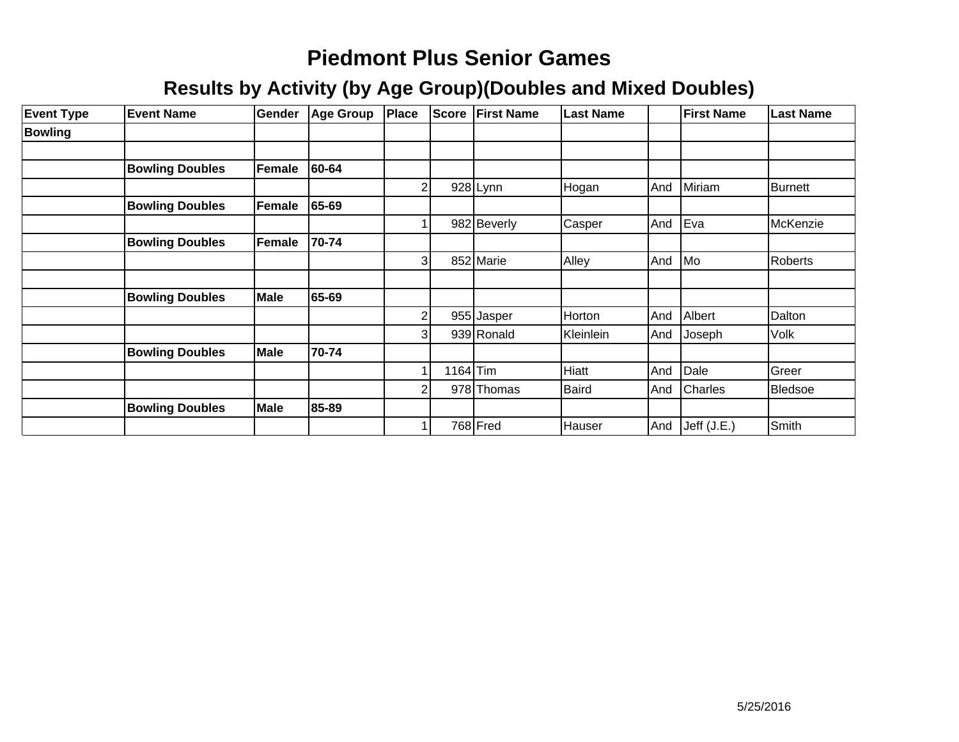| <b>Event Type</b> | <b>Event Name</b>      | <b>Gender</b> | <b>Age Group</b> | Place          | <b>Score</b> | <b>First Name</b> | <b>Last Name</b> |     | <b>First Name</b> | <b>Last Name</b> |
|-------------------|------------------------|---------------|------------------|----------------|--------------|-------------------|------------------|-----|-------------------|------------------|
| <b>Bowling</b>    |                        |               |                  |                |              |                   |                  |     |                   |                  |
|                   |                        |               |                  |                |              |                   |                  |     |                   |                  |
|                   | <b>Bowling Doubles</b> | Female        | 60-64            |                |              |                   |                  |     |                   |                  |
|                   |                        |               |                  | $\overline{2}$ |              | $928$ Lynn        | Hogan            | And | Miriam            | Burnett          |
|                   | <b>Bowling Doubles</b> | Female        | 65-69            |                |              |                   |                  |     |                   |                  |
|                   |                        |               |                  |                |              | 982 Beverly       | Casper           | And | Eva               | McKenzie         |
|                   | <b>Bowling Doubles</b> | Female        | 70-74            |                |              |                   |                  |     |                   |                  |
|                   |                        |               |                  | 3              |              | 852 Marie         | Alley            | And | Mo                | Roberts          |
|                   |                        |               |                  |                |              |                   |                  |     |                   |                  |
|                   | <b>Bowling Doubles</b> | Male          | 65-69            |                |              |                   |                  |     |                   |                  |
|                   |                        |               |                  | 2              |              | 955 Jasper        | Horton           | And | Albert            | Dalton           |
|                   |                        |               |                  | $\overline{3}$ |              | 939 Ronald        | Kleinlein        | And | Joseph            | Volk             |
|                   | <b>Bowling Doubles</b> | <b>Male</b>   | 70-74            |                |              |                   |                  |     |                   |                  |
|                   |                        |               |                  | 1              | $1164$ Tim   |                   | Hiatt            | And | Dale              | Greer            |
|                   |                        |               |                  | 2              |              | 978 Thomas        | <b>Baird</b>     | And | <b>Charles</b>    | Bledsoe          |
|                   | <b>Bowling Doubles</b> | Male          | 85-89            |                |              |                   |                  |     |                   |                  |
|                   |                        |               |                  | 1              |              | 768 Fred          | Hauser           | And | Jeff (J.E.)       | Smith            |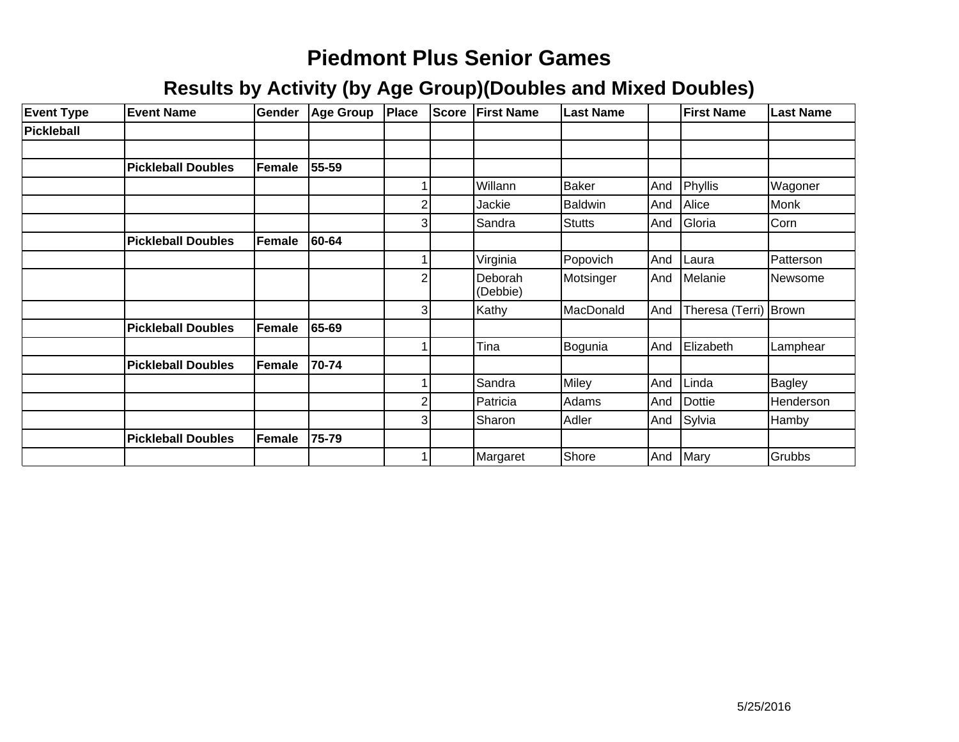| <b>Event Type</b> | <b>Event Name</b>         | Gender | Age Group | <b>Place</b>   | <b>Score</b> | <b>First Name</b>   | <b>Last Name</b> |     | <b>First Name</b>     | <b>Last Name</b> |
|-------------------|---------------------------|--------|-----------|----------------|--------------|---------------------|------------------|-----|-----------------------|------------------|
| <b>Pickleball</b> |                           |        |           |                |              |                     |                  |     |                       |                  |
|                   |                           |        |           |                |              |                     |                  |     |                       |                  |
|                   | <b>Pickleball Doubles</b> | Female | 55-59     |                |              |                     |                  |     |                       |                  |
|                   |                           |        |           |                |              | Willann             | <b>Baker</b>     | And | Phyllis               | Wagoner          |
|                   |                           |        |           | 2              |              | Jackie              | <b>Baldwin</b>   | And | Alice                 | Monk             |
|                   |                           |        |           | $\overline{3}$ |              | Sandra              | Stutts           | And | Gloria                | Corn             |
|                   | <b>Pickleball Doubles</b> | Female | 60-64     |                |              |                     |                  |     |                       |                  |
|                   |                           |        |           |                |              | Virginia            | Popovich         | And | Laura                 | Patterson        |
|                   |                           |        |           | $\overline{2}$ |              | Deborah<br>(Debbie) | Motsinger        | And | Melanie               | Newsome          |
|                   |                           |        |           | $\overline{3}$ |              | Kathy               | MacDonald        | And | Theresa (Terri) Brown |                  |
|                   | <b>Pickleball Doubles</b> | Female | 65-69     |                |              |                     |                  |     |                       |                  |
|                   |                           |        |           |                |              | Tina                | Bogunia          | And | Elizabeth             | Lamphear         |
|                   | <b>Pickleball Doubles</b> | Female | 70-74     |                |              |                     |                  |     |                       |                  |
|                   |                           |        |           |                |              | Sandra              | Miley            | And | Linda                 | Bagley           |
|                   |                           |        |           | $\overline{2}$ |              | Patricia            | Adams            | And | Dottie                | Henderson        |
|                   |                           |        |           | $\mathbf{3}$   |              | Sharon              | Adler            | And | Sylvia                | Hamby            |
|                   | <b>Pickleball Doubles</b> | Female | 75-79     |                |              |                     |                  |     |                       |                  |
|                   |                           |        |           |                |              | Margaret            | Shore            | And | Mary                  | Grubbs           |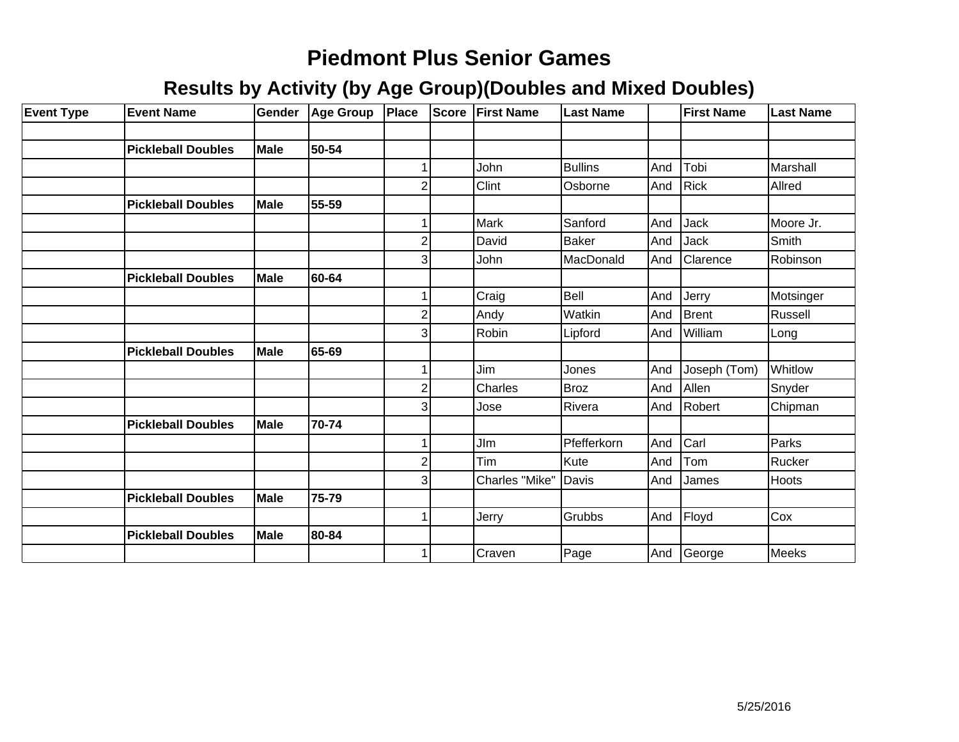| <b>Event Type</b> | <b>Event Name</b>         | Gender      | <b>Age Group</b> | Place                   | <b>Score</b> | <b>First Name</b> | <b>Last Name</b> |     | <b>First Name</b> | Last Name |
|-------------------|---------------------------|-------------|------------------|-------------------------|--------------|-------------------|------------------|-----|-------------------|-----------|
|                   |                           |             |                  |                         |              |                   |                  |     |                   |           |
|                   | <b>Pickleball Doubles</b> | <b>Male</b> | 50-54            |                         |              |                   |                  |     |                   |           |
|                   |                           |             |                  | 1                       |              | John              | <b>Bullins</b>   | And | Tobi              | Marshall  |
|                   |                           |             |                  | $\overline{c}$          |              | Clint             | Osborne          | And | Rick              | Allred    |
|                   | <b>Pickleball Doubles</b> | <b>Male</b> | 55-59            |                         |              |                   |                  |     |                   |           |
|                   |                           |             |                  | 1                       |              | Mark              | Sanford          | And | Jack              | Moore Jr. |
|                   |                           |             |                  | $\overline{\mathbf{c}}$ |              | David             | <b>Baker</b>     | And | Jack              | Smith     |
|                   |                           |             |                  | $\overline{3}$          |              | John              | MacDonald        | And | <b>Clarence</b>   | Robinson  |
|                   | <b>Pickleball Doubles</b> | Male        | 60-64            |                         |              |                   |                  |     |                   |           |
|                   |                           |             |                  | 1                       |              | Craig             | Bell             | And | Jerry             | Motsinger |
|                   |                           |             |                  | $\overline{c}$          |              | Andy              | Watkin           | And | Brent             | Russell   |
|                   |                           |             |                  | $\overline{3}$          |              | Robin             | Lipford          | And | William           | Long      |
|                   | <b>Pickleball Doubles</b> | <b>Male</b> | 65-69            |                         |              |                   |                  |     |                   |           |
|                   |                           |             |                  |                         |              | Jim               | Jones            | And | Joseph (Tom)      | Whitlow   |
|                   |                           |             |                  | $\overline{c}$          |              | Charles           | Broz             | And | Allen             | Snyder    |
|                   |                           |             |                  | 3                       |              | Jose              | Rivera           | And | Robert            | Chipman   |
|                   | <b>Pickleball Doubles</b> | Male        | 70-74            |                         |              |                   |                  |     |                   |           |
|                   |                           |             |                  | 1                       |              | <b>JIm</b>        | Pfefferkorn      | And | <b>C</b> arl      | Parks     |
|                   |                           |             |                  | $\overline{c}$          |              | Tim               | Kute             | And | Tom               | Rucker    |
|                   |                           |             |                  | 3                       |              | Charles "Mike"    | Davis            | And | James             | Hoots     |
|                   | <b>Pickleball Doubles</b> | <b>Male</b> | 75-79            |                         |              |                   |                  |     |                   |           |
|                   |                           |             |                  | 1                       |              | Jerry             | Grubbs           | And | Floyd             | Cox       |
|                   | <b>Pickleball Doubles</b> | <b>Male</b> | 80-84            |                         |              |                   |                  |     |                   |           |
|                   |                           |             |                  | 1                       |              | Craven            | Page             | And | George            | Meeks     |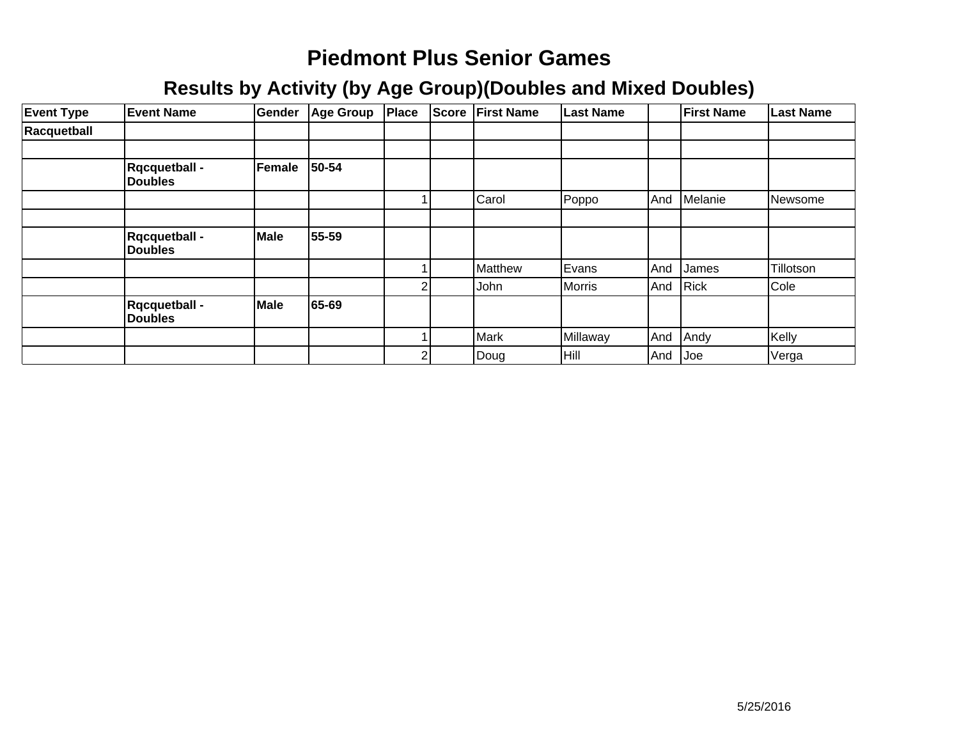| <b>Event Type</b> | <b>Event Name</b>                       | Gender      | Age Group | <b>Place</b> | Score          | <b>First Name</b> | <b>Last Name</b> |     | <b>First Name</b> | <b>Last Name</b> |
|-------------------|-----------------------------------------|-------------|-----------|--------------|----------------|-------------------|------------------|-----|-------------------|------------------|
| Racquetball       |                                         |             |           |              |                |                   |                  |     |                   |                  |
|                   |                                         |             |           |              |                |                   |                  |     |                   |                  |
|                   | <b>R</b> qcquetball -<br><b>Doubles</b> | Female      | 50-54     |              |                |                   |                  |     |                   |                  |
|                   |                                         |             |           |              |                | Carol             | <b>Poppo</b>     | And | Melanie           | Newsome          |
|                   |                                         |             |           |              |                |                   |                  |     |                   |                  |
|                   | <b>R</b> qcquetball -<br><b>Doubles</b> | <b>Male</b> | 55-59     |              |                |                   |                  |     |                   |                  |
|                   |                                         |             |           |              |                | Matthew           | Evans            | And | James             | Tillotson        |
|                   |                                         |             |           | 2            |                | John              | Morris           | And | Rick              | Cole             |
|                   | <b>Rqcquetball -</b><br><b>Doubles</b>  | Male        | 65-69     |              |                |                   |                  |     |                   |                  |
|                   |                                         |             |           |              |                | Mark              | Millaway         | And | Andy              | Kelly            |
|                   |                                         |             |           |              | $\overline{2}$ | Doug              | Hill             | And | Joe               | Verga            |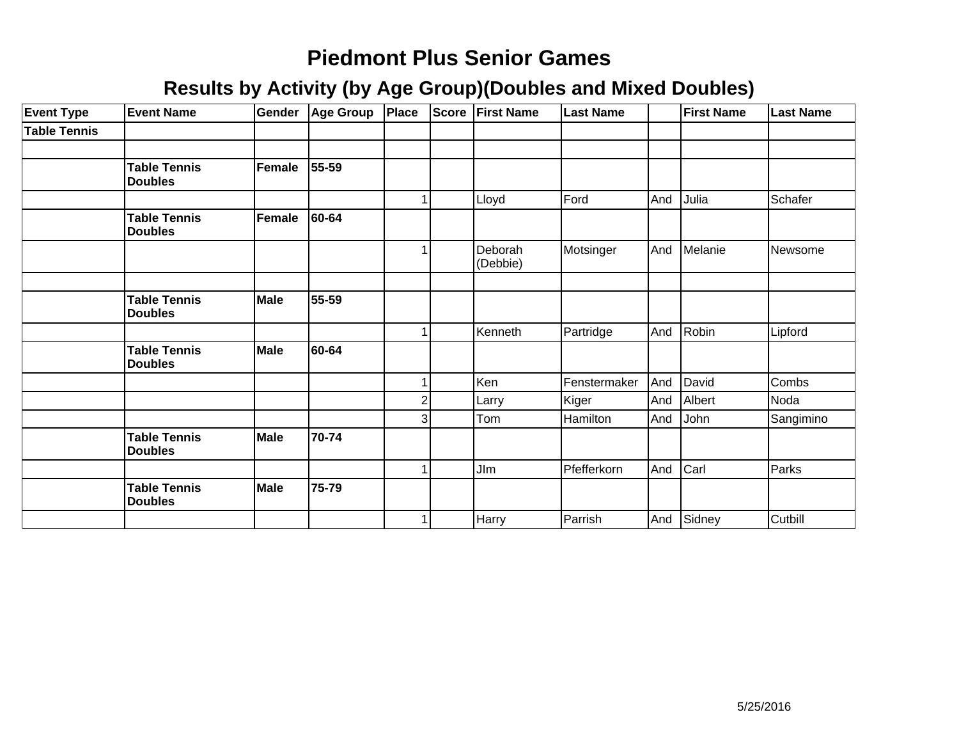| <b>Event Type</b>   | <b>Event Name</b>                     | Gender      | Age Group | Place                   |                | Score First Name    | <b>Last Name</b> |     | <b>First Name</b> | <b>Last Name</b> |
|---------------------|---------------------------------------|-------------|-----------|-------------------------|----------------|---------------------|------------------|-----|-------------------|------------------|
| <b>Table Tennis</b> |                                       |             |           |                         |                |                     |                  |     |                   |                  |
|                     |                                       |             |           |                         |                |                     |                  |     |                   |                  |
|                     | <b>Table Tennis</b><br><b>Doubles</b> | Female      | 55-59     |                         |                |                     |                  |     |                   |                  |
|                     |                                       |             |           |                         |                | Lloyd               | Ford             | And | Julia             | Schafer          |
|                     | <b>Table Tennis</b><br><b>Doubles</b> | Female      | 60-64     |                         |                |                     |                  |     |                   |                  |
|                     |                                       |             |           | 1                       |                | Deborah<br>(Debbie) | Motsinger        | And | Melanie           | Newsome          |
|                     |                                       |             |           |                         |                |                     |                  |     |                   |                  |
|                     | <b>Table Tennis</b><br><b>Doubles</b> | <b>Male</b> | 55-59     |                         |                |                     |                  |     |                   |                  |
|                     |                                       |             |           |                         |                | Kenneth             | Partridge        | And | Robin             | Lipford          |
|                     | <b>Table Tennis</b><br><b>Doubles</b> | <b>Male</b> | 60-64     |                         |                |                     |                  |     |                   |                  |
|                     |                                       |             |           |                         |                | Ken                 | Fenstermaker     | And | David             | Combs            |
|                     |                                       |             |           | $\overline{\mathbf{c}}$ |                | Larry               | Kiger            | And | Albert            | Noda             |
|                     |                                       |             |           |                         | $\overline{3}$ | Tom                 | Hamilton         | And | John              | Sangimino        |
|                     | <b>Table Tennis</b><br><b>Doubles</b> | <b>Male</b> | 70-74     |                         |                |                     |                  |     |                   |                  |
|                     |                                       |             |           |                         |                | JIm                 | Pfefferkorn      | And | Carl              | Parks            |
|                     | <b>Table Tennis</b><br><b>Doubles</b> | <b>Male</b> | 75-79     |                         |                |                     |                  |     |                   |                  |
|                     |                                       |             |           | 1                       |                | Harry               | Parrish          |     | And Sidney        | <b>Cutbill</b>   |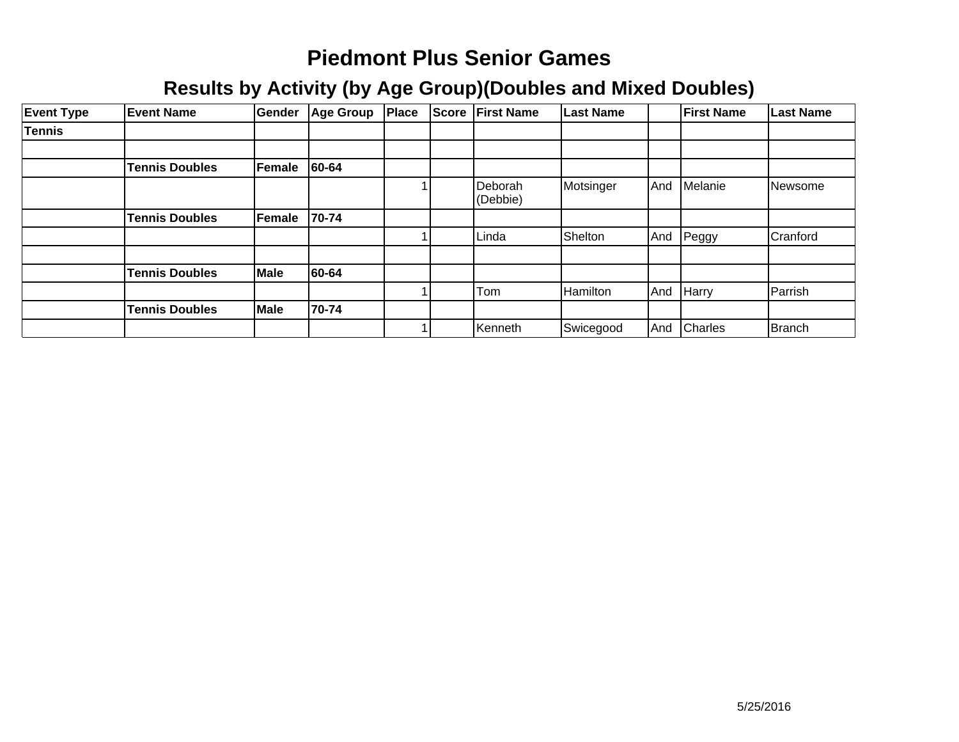| <b>Event Type</b> | <b>Event Name</b>     | Gender | <b>Age Group</b> | <b>Place</b> | <b>Score</b> | <b>First Name</b>   | <b>Last Name</b> |     | <b>First Name</b> | Last Name      |
|-------------------|-----------------------|--------|------------------|--------------|--------------|---------------------|------------------|-----|-------------------|----------------|
| <b>Tennis</b>     |                       |        |                  |              |              |                     |                  |     |                   |                |
|                   |                       |        |                  |              |              |                     |                  |     |                   |                |
|                   | <b>Tennis Doubles</b> | Female | 60-64            |              |              |                     |                  |     |                   |                |
|                   |                       |        |                  |              |              | Deborah<br>(Debbie) | Motsinger        | And | Melanie           | <b>Newsome</b> |
|                   | <b>Tennis Doubles</b> | Female | 70-74            |              |              |                     |                  |     |                   |                |
|                   |                       |        |                  |              |              | Linda               | Shelton          | And | Peggy             | Cranford       |
|                   |                       |        |                  |              |              |                     |                  |     |                   |                |
|                   | <b>Tennis Doubles</b> | Male   | 60-64            |              |              |                     |                  |     |                   |                |
|                   |                       |        |                  |              |              | Tom                 | Hamilton         | And | Harry             | Parrish        |
|                   | <b>Tennis Doubles</b> | Male   | 70-74            |              |              |                     |                  |     |                   |                |
|                   |                       |        |                  |              |              | Kenneth             | Swicegood        | And | <b>Charles</b>    | Branch         |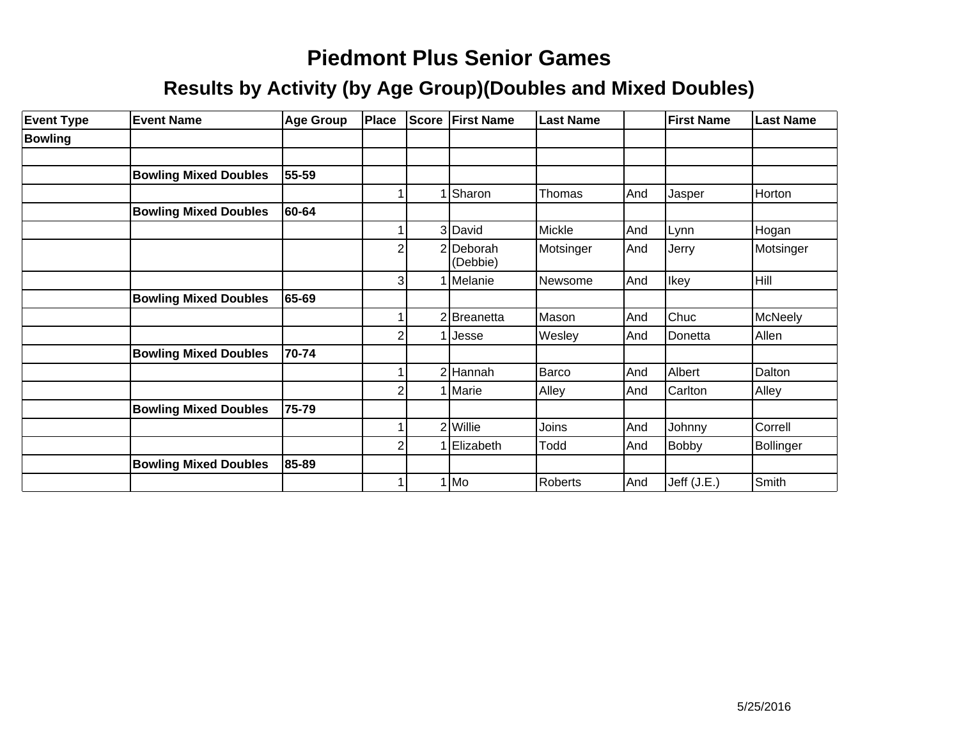| <b>Event Type</b> | <b>Event Name</b>            | <b>Age Group</b> | Place | Score          | <b>First Name</b>     | <b>Last Name</b> |     | <b>First Name</b> | <b>Last Name</b> |
|-------------------|------------------------------|------------------|-------|----------------|-----------------------|------------------|-----|-------------------|------------------|
| <b>Bowling</b>    |                              |                  |       |                |                       |                  |     |                   |                  |
|                   |                              |                  |       |                |                       |                  |     |                   |                  |
|                   | <b>Bowling Mixed Doubles</b> | 55-59            |       |                |                       |                  |     |                   |                  |
|                   |                              |                  |       |                | Sharon                | Thomas           | And | Jasper            | Horton           |
|                   | <b>Bowling Mixed Doubles</b> | 60-64            |       |                |                       |                  |     |                   |                  |
|                   |                              |                  |       |                | 3 David               | Mickle           | And | Lynn              | Hogan            |
|                   |                              |                  | 2     |                | 2 Deborah<br>(Debbie) | Motsinger        | And | Jerry             | Motsinger        |
|                   |                              |                  | 3     |                | 1 Melanie             | Newsome          | And | Ikey              | Hill             |
|                   | <b>Bowling Mixed Doubles</b> | 65-69            |       |                |                       |                  |     |                   |                  |
|                   |                              |                  |       | 2              | Breanetta             | Mason            | And | Chuc              | McNeely          |
|                   |                              |                  | 2     |                | Jesse                 | Wesley           | And | Donetta           | Allen            |
|                   | <b>Bowling Mixed Doubles</b> | 70-74            |       |                |                       |                  |     |                   |                  |
|                   |                              |                  |       |                | $2$ Hannah            | Barco            | And | Albert            | Dalton           |
|                   |                              |                  |       |                | Marie                 | Alley            | And | Carlton           | Alley            |
|                   | <b>Bowling Mixed Doubles</b> | 75-79            |       |                |                       |                  |     |                   |                  |
|                   |                              |                  |       | $\overline{2}$ | Willie                | Joins            | And | Johnny            | Correll          |
|                   |                              |                  | 2     |                | Elizabeth             | Todd             | And | <b>Bobby</b>      | Bollinger        |
|                   | <b>Bowling Mixed Doubles</b> | 85-89            |       |                |                       |                  |     |                   |                  |
|                   |                              |                  |       |                | $1$ Mo                | Roberts          | And | Jeff (J.E.)       | Smith            |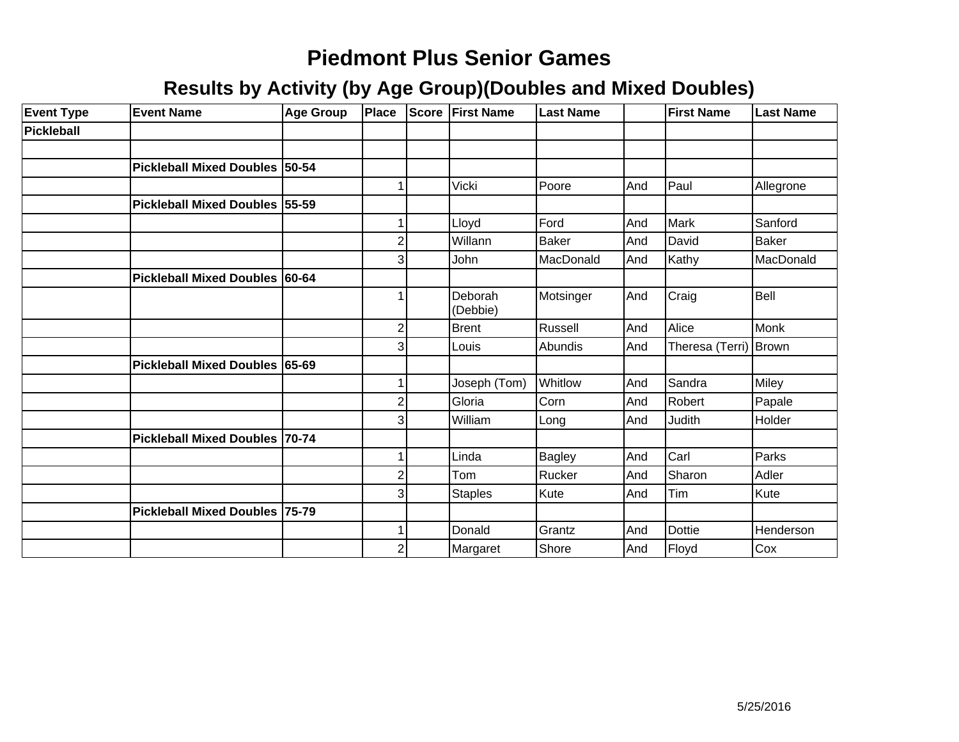| <b>Event Type</b> | <b>Event Name</b>              | Age Group | Place          | Score | <b>First Name</b>   | <b>Last Name</b> |     | <b>First Name</b>       | <b>Last Name</b> |
|-------------------|--------------------------------|-----------|----------------|-------|---------------------|------------------|-----|-------------------------|------------------|
| Pickleball        |                                |           |                |       |                     |                  |     |                         |                  |
|                   |                                |           |                |       |                     |                  |     |                         |                  |
|                   | Pickleball Mixed Doubles 50-54 |           |                |       |                     |                  |     |                         |                  |
|                   |                                |           |                |       | Vicki               | Poore            | And | Paul                    | Allegrone        |
|                   | Pickleball Mixed Doubles 55-59 |           |                |       |                     |                  |     |                         |                  |
|                   |                                |           |                |       | Lloyd               | Ford             | And | <b>I</b> Mark           | Sanford          |
|                   |                                |           | $\overline{2}$ |       | Willann             | <b>Baker</b>     | And | David                   | <b>Baker</b>     |
|                   |                                |           | 3              |       | John                | MacDonald        | And | Kathy                   | MacDonald        |
|                   | Pickleball Mixed Doubles 60-64 |           |                |       |                     |                  |     |                         |                  |
|                   |                                |           |                |       | Deborah<br>(Debbie) | Motsinger        | And | Craig                   | Bell             |
|                   |                                |           | $\overline{2}$ |       | Brent               | Russell          | And | Alice                   | Monk             |
|                   |                                |           | 3              |       | Louis               | Abundis          | And | Theresa (Terri)   Brown |                  |
|                   | Pickleball Mixed Doubles 65-69 |           |                |       |                     |                  |     |                         |                  |
|                   |                                |           |                |       | Joseph (Tom)        | Whitlow          | And | Sandra                  | Miley            |
|                   |                                |           | $\overline{2}$ |       | Gloria              | Corn             | And | Robert                  | Papale           |
|                   |                                |           | 3              |       | William             | Long             | And | Judith                  | Holder           |
|                   | Pickleball Mixed Doubles 70-74 |           |                |       |                     |                  |     |                         |                  |
|                   |                                |           | 1              |       | Linda               | Bagley           | And | Carl                    | Parks            |
|                   |                                |           | $\overline{2}$ |       | Tom                 | Rucker           | And | Sharon                  | Adler            |
|                   |                                |           | 3              |       | <b>Staples</b>      | Kute             | And | Tim                     | Kute             |
|                   | Pickleball Mixed Doubles 75-79 |           |                |       |                     |                  |     |                         |                  |
|                   |                                |           | 1              |       | Donald              | Grantz           | And | <b>Dottie</b>           | Henderson        |
|                   |                                |           | $\overline{c}$ |       | Margaret            | Shore            | And | Floyd                   | Cox              |